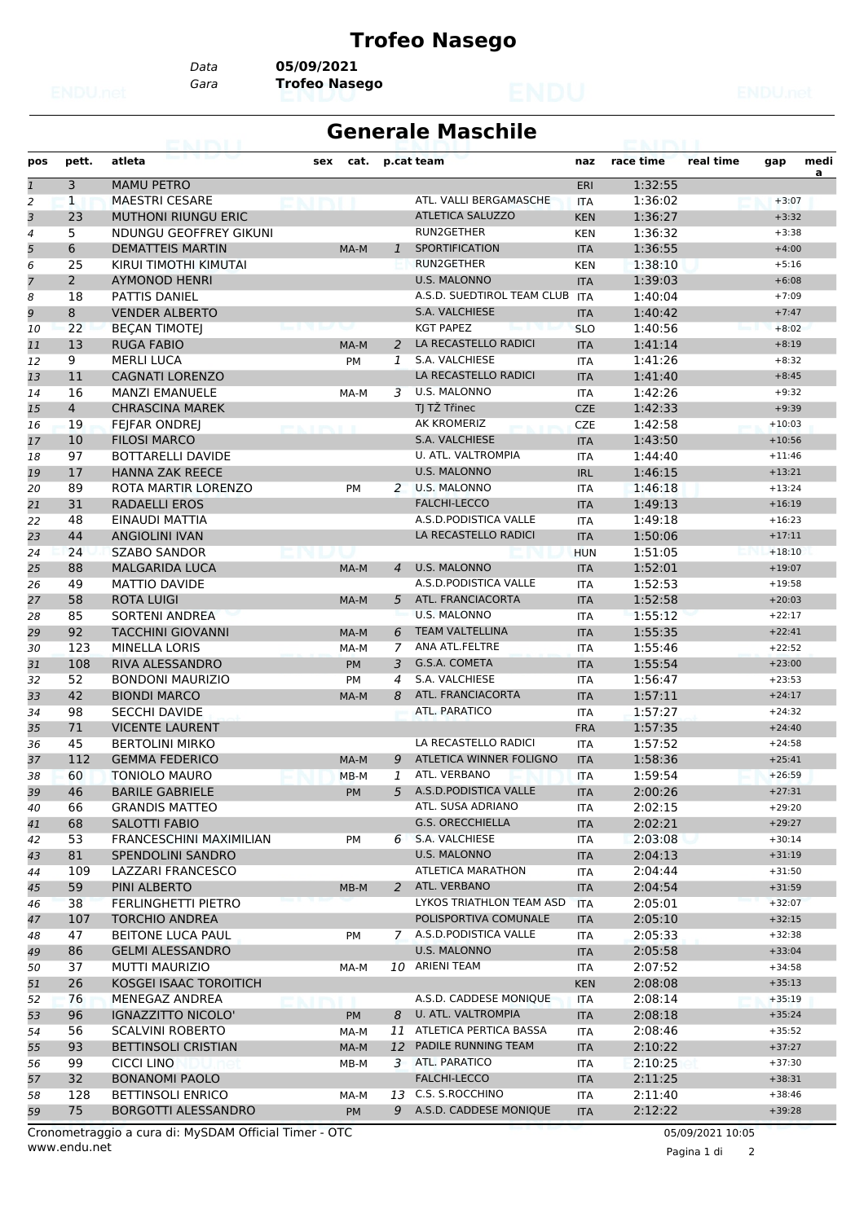## **Trofeo Nasego**

*Data* **05/09/2021**

*Gara* **Trofeo Nasego**

## **Generale Maschile**

| a<br>3<br><b>MAMU PETRO</b><br>1:32:55<br>$\mathbf{1}$<br>ERI<br>$\overline{a}$<br>$\mathbf{1}$<br><b>MAESTRI CESARE</b><br>1:36:02<br>ATL. VALLI BERGAMASCHE<br><b>ITA</b><br>$+3:07$<br>3<br>23<br><b>ATLETICA SALUZZO</b><br><b>MUTHONI RIUNGU ERIC</b><br>1:36:27<br>$+3:32$<br><b>KEN</b><br>RUN2GETHER<br>4<br>5<br>NDUNGU GEOFFREY GIKUNI<br>1:36:32<br>$+3:38$<br><b>KEN</b><br>5<br>$6\phantom{.}$<br><b>DEMATTEIS MARTIN</b><br><b>SPORTIFICATION</b><br>1:36:55<br>$\mathbf{1}$<br><b>ITA</b><br>$+4:00$<br>MA-M<br>RUN2GETHER<br>6<br>25<br>KIRUI TIMOTHI KIMUTAI<br>1:38:10<br>$+5:16$<br><b>KEN</b><br>$\overline{7}$<br>$\overline{2}$<br><b>U.S. MALONNO</b><br><b>AYMONOD HENRI</b><br>1:39:03<br><b>ITA</b><br>$+6:08$<br>8<br>18<br>A.S.D. SUEDTIROL TEAM CLUB<br>1:40:04<br>PATTIS DANIEL<br><b>ITA</b><br>$+7:09$<br>9<br>S.A. VALCHIESE<br>8<br><b>VENDER ALBERTO</b><br><b>ITA</b><br>1:40:42<br>$+7:47$<br>22<br><b>KGT PAPEZ</b><br>1:40:56<br><b>BECAN TIMOTEJ</b><br><b>SLO</b><br>$+8:02$<br>10<br>13<br><b>RUGA FABIO</b><br>LA RECASTELLO RADICI<br>1:41:14<br>2<br>11<br>MA-M<br><b>ITA</b><br>$+8:19$<br>S.A. VALCHIESE<br>9<br><b>MERLI LUCA</b><br>1:41:26<br>$+8:32$<br>12<br><b>PM</b><br>1<br><b>ITA</b><br>LA RECASTELLO RADICI<br>11<br><b>CAGNATI LORENZO</b><br>1:41:40<br><b>ITA</b><br>$+8:45$<br>13<br><b>U.S. MALONNO</b><br>1:42:26<br>16<br><b>MANZI EMANUELE</b><br>3<br>$+9:32$<br>14<br><b>ITA</b><br>MA-M<br>TJ TŽ Třinec<br>$\overline{4}$<br><b>CHRASCINA MAREK</b><br><b>CZE</b><br>1:42:33<br>$+9:39$<br>15<br>AK KROMERIZ<br>19<br><b>FEJFAR ONDREJ</b><br>1:42:58<br><b>CZE</b><br>$+10:03$<br>16<br><b>PERMIT BASED BERNSYLLED</b><br>10<br><b>FILOSI MARCO</b><br>S.A. VALCHIESE<br>1:43:50<br>$+10:56$<br><b>ITA</b><br>17<br>U. ATL. VALTROMPIA<br>97<br><b>BOTTARELLI DAVIDE</b><br>1:44:40<br>$+11:46$<br>18<br><b>ITA</b><br>17<br><b>HANNA ZAK REECE</b><br><b>U.S. MALONNO</b><br>1:46:15<br><b>IRL</b><br>$+13:21$<br>19<br>89<br>2 U.S. MALONNO<br>1:46:18<br>ROTA MARTIR LORENZO<br>$+13:24$<br>20<br><b>PM</b><br><b>ITA</b><br><b>FALCHI-LECCO</b><br>31<br><b>RADAELLI EROS</b><br><b>ITA</b><br>1:49:13<br>$+16:19$<br>48<br>A.S.D.PODISTICA VALLE<br>1:49:18<br>22<br>EINAUDI MATTIA<br><b>ITA</b><br>$+16:23$<br>44<br><b>ANGIOLINI IVAN</b><br>LA RECASTELLO RADICI<br>1:50:06<br>$+17:11$<br>23<br><b>ITA</b><br>24<br><b>SZABO SANDOR</b><br>1:51:05<br>$+18:10$<br><b>HUN</b><br>88<br><b>MALGARIDA LUCA</b><br><b>U.S. MALONNO</b><br>1:52:01<br><b>ITA</b><br>$+19:07$<br>25<br>MA-M<br>4<br>A.S.D.PODISTICA VALLE<br>1:52:53<br>49<br><b>MATTIO DAVIDE</b><br>$+19:58$<br><b>ITA</b><br>26<br>ATL. FRANCIACORTA<br>58<br><b>ROTA LUIGI</b><br><b>ITA</b><br>1:52:58<br>5<br>$+20:03$<br>MA-M<br><b>SORTENI ANDREA</b><br><b>U.S. MALONNO</b><br>1:55:12<br>85<br>$+22:17$<br>28<br><b>ITA</b><br>92<br><b>TACCHINI GIOVANNI</b><br><b>TEAM VALTELLINA</b><br>1:55:35<br>6<br>$+22:41$<br><b>ITA</b><br>29<br>MA-M<br>ANA ATL.FELTRE<br>123<br><b>MINELLA LORIS</b><br>1:55:46<br>$+22:52$<br>MA-M<br>7<br><b>ITA</b><br>108<br><b>RIVA ALESSANDRO</b><br>G.S.A. COMETA<br>1:55:54<br>PM<br>3<br><b>ITA</b><br>$+23:00$<br>S.A. VALCHIESE<br>52<br><b>BONDONI MAURIZIO</b><br>1:56:47<br>$+23:53$<br>32<br><b>PM</b><br>4<br><b>ITA</b><br>ATL. FRANCIACORTA<br>42<br><b>BIONDI MARCO</b><br><b>ITA</b><br>1:57:11<br>8<br>$+24:17$<br>MA-M<br>98<br><b>ATL, PARATICO</b><br>1:57:27<br>34<br><b>SECCHI DAVIDE</b><br>$+24:32$<br><b>ITA</b><br>71<br><b>VICENTE LAURENT</b><br>1:57:35<br><b>FRA</b><br>$+24:40$<br>35<br>LA RECASTELLO RADICI<br>45<br><b>BERTOLINI MIRKO</b><br>1:57:52<br>36<br><b>ITA</b><br>$+24:58$<br>112<br>ATLETICA WINNER FOLIGNO<br>1:58:36<br><b>GEMMA FEDERICO</b><br><b>ITA</b><br>$+25:41$<br>37<br>MA-M<br>9<br>ATL. VERBANO<br>60<br>1:59:54<br>$+26:59$<br>38<br><b>TONIOLO MAURO</b><br>1<br><b>ITA</b><br>$MB-M$<br>A.S.D.PODISTICA VALLE<br>46<br>5<br><b>BARILE GABRIELE</b><br>PM<br><b>ITA</b><br>2:00:26<br>$+27:31$<br>ATL. SUSA ADRIANO<br>2:02:15<br><b>GRANDIS MATTEO</b><br>$+29:20$<br>66<br>40<br>ITA<br><b>G.S. ORECCHIELLA</b><br>68<br>2:02:21<br>$+29:27$<br>SALOTTI FABIO<br><b>ITA</b><br>41<br>53<br><b>FRANCESCHINI MAXIMILIAN</b><br>S.A. VALCHIESE<br>2:03:08<br>$+30:14$<br>42<br>PM<br>6<br>ITA<br>81<br>U.S. MALONNO<br><b>SPENDOLINI SANDRO</b><br>2:04:13<br>$+31:19$<br>43<br><b>ITA</b><br><b>ATLETICA MARATHON</b><br>2:04:44<br>$+31:50$<br>109<br>LAZZARI FRANCESCO<br>44<br>ITA<br>59<br>ATL. VERBANO<br>PINI ALBERTO<br>2<br><b>ITA</b><br>2:04:54<br>$+31:59$<br>45<br>MB-M<br>LYKOS TRIATHLON TEAM ASD<br>38<br>FERLINGHETTI PIETRO<br>2:05:01<br>$+32:07$<br><b>ITA</b><br>46<br>POLISPORTIVA COMUNALE<br>2:05:10<br>107<br><b>TORCHIO ANDREA</b><br>$+32:15$<br>47<br><b>ITA</b><br>47<br><b>BEITONE LUCA PAUL</b><br>7 A.S.D. PODISTICA VALLE<br>2:05:33<br>$+32:38$<br>48<br>PM<br>ITA<br><b>U.S. MALONNO</b><br>86<br><b>GELMI ALESSANDRO</b><br>2:05:58<br>$+33:04$<br>49<br><b>ITA</b><br>10 ARIENI TEAM<br>$+34:58$<br>37<br><b>MUTTI MAURIZIO</b><br>2:07:52<br>50<br>MA-M<br>ITA<br>26<br>KOSGEI ISAAC TOROITICH<br><b>KEN</b><br>2:08:08<br>$+35:13$<br>A.S.D. CADDESE MONIQUE<br>76<br>2:08:14<br>$+35:19$<br>MENEGAZ ANDREA<br>52<br><b>ITA</b><br>96<br>U. ATL. VALTROMPIA<br>2:08:18<br>$+35:24$<br>IGNAZZITTO NICOLO'<br>8<br><b>ITA</b><br>53<br>PM<br>56<br>11 ATLETICA PERTICA BASSA<br>2:08:46<br>54<br><b>SCALVINI ROBERTO</b><br>MA-M<br>$+35:52$<br>ITA<br>PADILE RUNNING TEAM<br>93<br><b>BETTINSOLI CRISTIAN</b><br>12<br>2:10:22<br>$+37:27$<br>MA-M<br>55<br><b>ITA</b><br>ATL. PARATICO<br>$+37:30$<br>99<br>CICCI LINO<br>3<br>2:10:25<br>56<br>MB-M<br>ITA<br>32<br><b>FALCHI-LECCO</b><br><b>BONANOMI PAOLO</b><br><b>ITA</b><br>2:11:25<br>$+38:31$<br>57<br>13 C.S. S.ROCCHINO<br>128<br><b>BETTINSOLI ENRICO</b><br>2:11:40<br>$+38:46$<br>58<br>MA-M<br>ITA<br>9 A.S.D. CADDESE MONIQUE<br>75<br>2:12:22<br><b>BORGOTTI ALESSANDRO</b><br><b>PM</b><br><b>ITA</b><br>$+39:28$<br>59 | pos | pett. | atleta | sex<br>cat. | p.cat team | naz | race time | real time | gap | medi |
|----------------------------------------------------------------------------------------------------------------------------------------------------------------------------------------------------------------------------------------------------------------------------------------------------------------------------------------------------------------------------------------------------------------------------------------------------------------------------------------------------------------------------------------------------------------------------------------------------------------------------------------------------------------------------------------------------------------------------------------------------------------------------------------------------------------------------------------------------------------------------------------------------------------------------------------------------------------------------------------------------------------------------------------------------------------------------------------------------------------------------------------------------------------------------------------------------------------------------------------------------------------------------------------------------------------------------------------------------------------------------------------------------------------------------------------------------------------------------------------------------------------------------------------------------------------------------------------------------------------------------------------------------------------------------------------------------------------------------------------------------------------------------------------------------------------------------------------------------------------------------------------------------------------------------------------------------------------------------------------------------------------------------------------------------------------------------------------------------------------------------------------------------------------------------------------------------------------------------------------------------------------------------------------------------------------------------------------------------------------------------------------------------------------------------------------------------------------------------------------------------------------------------------------------------------------------------------------------------------------------------------------------------------------------------------------------------------------------------------------------------------------------------------------------------------------------------------------------------------------------------------------------------------------------------------------------------------------------------------------------------------------------------------------------------------------------------------------------------------------------------------------------------------------------------------------------------------------------------------------------------------------------------------------------------------------------------------------------------------------------------------------------------------------------------------------------------------------------------------------------------------------------------------------------------------------------------------------------------------------------------------------------------------------------------------------------------------------------------------------------------------------------------------------------------------------------------------------------------------------------------------------------------------------------------------------------------------------------------------------------------------------------------------------------------------------------------------------------------------------------------------------------------------------------------------------------------------------------------------------------------------------------------------------------------------------------------------------------------------------------------------------------------------------------------------------------------------------------------------------------------------------------------------------------------------------------------------------------------------------------------------------------------------------------------------------------------------------------------------------------------------------------------------------------------------------------------------------------------------------------------------------------------------------------------------------------------------------------------------------------------------------------------------------------------------------------------------------------------------------------------------------------------------------------------------------------------------------------------------------------------------------------------------------------------------------------------------------------------------------------------------------------------------------------------------------------------------------------------------------------------------------------------------------------------------------------------------------------------------------------------------------------------------------------------------------------------------------------------------------------------------------------------------------------------------------------------------------------------------------------------------------------------------------------------------------------------------------------------------------------------------------------------------------------------------------------------------|-----|-------|--------|-------------|------------|-----|-----------|-----------|-----|------|
|                                                                                                                                                                                                                                                                                                                                                                                                                                                                                                                                                                                                                                                                                                                                                                                                                                                                                                                                                                                                                                                                                                                                                                                                                                                                                                                                                                                                                                                                                                                                                                                                                                                                                                                                                                                                                                                                                                                                                                                                                                                                                                                                                                                                                                                                                                                                                                                                                                                                                                                                                                                                                                                                                                                                                                                                                                                                                                                                                                                                                                                                                                                                                                                                                                                                                                                                                                                                                                                                                                                                                                                                                                                                                                                                                                                                                                                                                                                                                                                                                                                                                                                                                                                                                                                                                                                                                                                                                                                                                                                                                                                                                                                                                                                                                                                                                                                                                                                                                                                                                                                                                                                                                                                                                                                                                                                                                                                                                                                                                                                                                                                                                                                                                                                                                                                                                                                                                                                                                                                                                                                                                  |     |       |        |             |            |     |           |           |     |      |
|                                                                                                                                                                                                                                                                                                                                                                                                                                                                                                                                                                                                                                                                                                                                                                                                                                                                                                                                                                                                                                                                                                                                                                                                                                                                                                                                                                                                                                                                                                                                                                                                                                                                                                                                                                                                                                                                                                                                                                                                                                                                                                                                                                                                                                                                                                                                                                                                                                                                                                                                                                                                                                                                                                                                                                                                                                                                                                                                                                                                                                                                                                                                                                                                                                                                                                                                                                                                                                                                                                                                                                                                                                                                                                                                                                                                                                                                                                                                                                                                                                                                                                                                                                                                                                                                                                                                                                                                                                                                                                                                                                                                                                                                                                                                                                                                                                                                                                                                                                                                                                                                                                                                                                                                                                                                                                                                                                                                                                                                                                                                                                                                                                                                                                                                                                                                                                                                                                                                                                                                                                                                                  |     |       |        |             |            |     |           |           |     |      |
|                                                                                                                                                                                                                                                                                                                                                                                                                                                                                                                                                                                                                                                                                                                                                                                                                                                                                                                                                                                                                                                                                                                                                                                                                                                                                                                                                                                                                                                                                                                                                                                                                                                                                                                                                                                                                                                                                                                                                                                                                                                                                                                                                                                                                                                                                                                                                                                                                                                                                                                                                                                                                                                                                                                                                                                                                                                                                                                                                                                                                                                                                                                                                                                                                                                                                                                                                                                                                                                                                                                                                                                                                                                                                                                                                                                                                                                                                                                                                                                                                                                                                                                                                                                                                                                                                                                                                                                                                                                                                                                                                                                                                                                                                                                                                                                                                                                                                                                                                                                                                                                                                                                                                                                                                                                                                                                                                                                                                                                                                                                                                                                                                                                                                                                                                                                                                                                                                                                                                                                                                                                                                  |     |       |        |             |            |     |           |           |     |      |
|                                                                                                                                                                                                                                                                                                                                                                                                                                                                                                                                                                                                                                                                                                                                                                                                                                                                                                                                                                                                                                                                                                                                                                                                                                                                                                                                                                                                                                                                                                                                                                                                                                                                                                                                                                                                                                                                                                                                                                                                                                                                                                                                                                                                                                                                                                                                                                                                                                                                                                                                                                                                                                                                                                                                                                                                                                                                                                                                                                                                                                                                                                                                                                                                                                                                                                                                                                                                                                                                                                                                                                                                                                                                                                                                                                                                                                                                                                                                                                                                                                                                                                                                                                                                                                                                                                                                                                                                                                                                                                                                                                                                                                                                                                                                                                                                                                                                                                                                                                                                                                                                                                                                                                                                                                                                                                                                                                                                                                                                                                                                                                                                                                                                                                                                                                                                                                                                                                                                                                                                                                                                                  |     |       |        |             |            |     |           |           |     |      |
|                                                                                                                                                                                                                                                                                                                                                                                                                                                                                                                                                                                                                                                                                                                                                                                                                                                                                                                                                                                                                                                                                                                                                                                                                                                                                                                                                                                                                                                                                                                                                                                                                                                                                                                                                                                                                                                                                                                                                                                                                                                                                                                                                                                                                                                                                                                                                                                                                                                                                                                                                                                                                                                                                                                                                                                                                                                                                                                                                                                                                                                                                                                                                                                                                                                                                                                                                                                                                                                                                                                                                                                                                                                                                                                                                                                                                                                                                                                                                                                                                                                                                                                                                                                                                                                                                                                                                                                                                                                                                                                                                                                                                                                                                                                                                                                                                                                                                                                                                                                                                                                                                                                                                                                                                                                                                                                                                                                                                                                                                                                                                                                                                                                                                                                                                                                                                                                                                                                                                                                                                                                                                  |     |       |        |             |            |     |           |           |     |      |
|                                                                                                                                                                                                                                                                                                                                                                                                                                                                                                                                                                                                                                                                                                                                                                                                                                                                                                                                                                                                                                                                                                                                                                                                                                                                                                                                                                                                                                                                                                                                                                                                                                                                                                                                                                                                                                                                                                                                                                                                                                                                                                                                                                                                                                                                                                                                                                                                                                                                                                                                                                                                                                                                                                                                                                                                                                                                                                                                                                                                                                                                                                                                                                                                                                                                                                                                                                                                                                                                                                                                                                                                                                                                                                                                                                                                                                                                                                                                                                                                                                                                                                                                                                                                                                                                                                                                                                                                                                                                                                                                                                                                                                                                                                                                                                                                                                                                                                                                                                                                                                                                                                                                                                                                                                                                                                                                                                                                                                                                                                                                                                                                                                                                                                                                                                                                                                                                                                                                                                                                                                                                                  |     |       |        |             |            |     |           |           |     |      |
|                                                                                                                                                                                                                                                                                                                                                                                                                                                                                                                                                                                                                                                                                                                                                                                                                                                                                                                                                                                                                                                                                                                                                                                                                                                                                                                                                                                                                                                                                                                                                                                                                                                                                                                                                                                                                                                                                                                                                                                                                                                                                                                                                                                                                                                                                                                                                                                                                                                                                                                                                                                                                                                                                                                                                                                                                                                                                                                                                                                                                                                                                                                                                                                                                                                                                                                                                                                                                                                                                                                                                                                                                                                                                                                                                                                                                                                                                                                                                                                                                                                                                                                                                                                                                                                                                                                                                                                                                                                                                                                                                                                                                                                                                                                                                                                                                                                                                                                                                                                                                                                                                                                                                                                                                                                                                                                                                                                                                                                                                                                                                                                                                                                                                                                                                                                                                                                                                                                                                                                                                                                                                  |     |       |        |             |            |     |           |           |     |      |
|                                                                                                                                                                                                                                                                                                                                                                                                                                                                                                                                                                                                                                                                                                                                                                                                                                                                                                                                                                                                                                                                                                                                                                                                                                                                                                                                                                                                                                                                                                                                                                                                                                                                                                                                                                                                                                                                                                                                                                                                                                                                                                                                                                                                                                                                                                                                                                                                                                                                                                                                                                                                                                                                                                                                                                                                                                                                                                                                                                                                                                                                                                                                                                                                                                                                                                                                                                                                                                                                                                                                                                                                                                                                                                                                                                                                                                                                                                                                                                                                                                                                                                                                                                                                                                                                                                                                                                                                                                                                                                                                                                                                                                                                                                                                                                                                                                                                                                                                                                                                                                                                                                                                                                                                                                                                                                                                                                                                                                                                                                                                                                                                                                                                                                                                                                                                                                                                                                                                                                                                                                                                                  |     |       |        |             |            |     |           |           |     |      |
|                                                                                                                                                                                                                                                                                                                                                                                                                                                                                                                                                                                                                                                                                                                                                                                                                                                                                                                                                                                                                                                                                                                                                                                                                                                                                                                                                                                                                                                                                                                                                                                                                                                                                                                                                                                                                                                                                                                                                                                                                                                                                                                                                                                                                                                                                                                                                                                                                                                                                                                                                                                                                                                                                                                                                                                                                                                                                                                                                                                                                                                                                                                                                                                                                                                                                                                                                                                                                                                                                                                                                                                                                                                                                                                                                                                                                                                                                                                                                                                                                                                                                                                                                                                                                                                                                                                                                                                                                                                                                                                                                                                                                                                                                                                                                                                                                                                                                                                                                                                                                                                                                                                                                                                                                                                                                                                                                                                                                                                                                                                                                                                                                                                                                                                                                                                                                                                                                                                                                                                                                                                                                  |     |       |        |             |            |     |           |           |     |      |
|                                                                                                                                                                                                                                                                                                                                                                                                                                                                                                                                                                                                                                                                                                                                                                                                                                                                                                                                                                                                                                                                                                                                                                                                                                                                                                                                                                                                                                                                                                                                                                                                                                                                                                                                                                                                                                                                                                                                                                                                                                                                                                                                                                                                                                                                                                                                                                                                                                                                                                                                                                                                                                                                                                                                                                                                                                                                                                                                                                                                                                                                                                                                                                                                                                                                                                                                                                                                                                                                                                                                                                                                                                                                                                                                                                                                                                                                                                                                                                                                                                                                                                                                                                                                                                                                                                                                                                                                                                                                                                                                                                                                                                                                                                                                                                                                                                                                                                                                                                                                                                                                                                                                                                                                                                                                                                                                                                                                                                                                                                                                                                                                                                                                                                                                                                                                                                                                                                                                                                                                                                                                                  |     |       |        |             |            |     |           |           |     |      |
|                                                                                                                                                                                                                                                                                                                                                                                                                                                                                                                                                                                                                                                                                                                                                                                                                                                                                                                                                                                                                                                                                                                                                                                                                                                                                                                                                                                                                                                                                                                                                                                                                                                                                                                                                                                                                                                                                                                                                                                                                                                                                                                                                                                                                                                                                                                                                                                                                                                                                                                                                                                                                                                                                                                                                                                                                                                                                                                                                                                                                                                                                                                                                                                                                                                                                                                                                                                                                                                                                                                                                                                                                                                                                                                                                                                                                                                                                                                                                                                                                                                                                                                                                                                                                                                                                                                                                                                                                                                                                                                                                                                                                                                                                                                                                                                                                                                                                                                                                                                                                                                                                                                                                                                                                                                                                                                                                                                                                                                                                                                                                                                                                                                                                                                                                                                                                                                                                                                                                                                                                                                                                  |     |       |        |             |            |     |           |           |     |      |
|                                                                                                                                                                                                                                                                                                                                                                                                                                                                                                                                                                                                                                                                                                                                                                                                                                                                                                                                                                                                                                                                                                                                                                                                                                                                                                                                                                                                                                                                                                                                                                                                                                                                                                                                                                                                                                                                                                                                                                                                                                                                                                                                                                                                                                                                                                                                                                                                                                                                                                                                                                                                                                                                                                                                                                                                                                                                                                                                                                                                                                                                                                                                                                                                                                                                                                                                                                                                                                                                                                                                                                                                                                                                                                                                                                                                                                                                                                                                                                                                                                                                                                                                                                                                                                                                                                                                                                                                                                                                                                                                                                                                                                                                                                                                                                                                                                                                                                                                                                                                                                                                                                                                                                                                                                                                                                                                                                                                                                                                                                                                                                                                                                                                                                                                                                                                                                                                                                                                                                                                                                                                                  |     |       |        |             |            |     |           |           |     |      |
|                                                                                                                                                                                                                                                                                                                                                                                                                                                                                                                                                                                                                                                                                                                                                                                                                                                                                                                                                                                                                                                                                                                                                                                                                                                                                                                                                                                                                                                                                                                                                                                                                                                                                                                                                                                                                                                                                                                                                                                                                                                                                                                                                                                                                                                                                                                                                                                                                                                                                                                                                                                                                                                                                                                                                                                                                                                                                                                                                                                                                                                                                                                                                                                                                                                                                                                                                                                                                                                                                                                                                                                                                                                                                                                                                                                                                                                                                                                                                                                                                                                                                                                                                                                                                                                                                                                                                                                                                                                                                                                                                                                                                                                                                                                                                                                                                                                                                                                                                                                                                                                                                                                                                                                                                                                                                                                                                                                                                                                                                                                                                                                                                                                                                                                                                                                                                                                                                                                                                                                                                                                                                  |     |       |        |             |            |     |           |           |     |      |
|                                                                                                                                                                                                                                                                                                                                                                                                                                                                                                                                                                                                                                                                                                                                                                                                                                                                                                                                                                                                                                                                                                                                                                                                                                                                                                                                                                                                                                                                                                                                                                                                                                                                                                                                                                                                                                                                                                                                                                                                                                                                                                                                                                                                                                                                                                                                                                                                                                                                                                                                                                                                                                                                                                                                                                                                                                                                                                                                                                                                                                                                                                                                                                                                                                                                                                                                                                                                                                                                                                                                                                                                                                                                                                                                                                                                                                                                                                                                                                                                                                                                                                                                                                                                                                                                                                                                                                                                                                                                                                                                                                                                                                                                                                                                                                                                                                                                                                                                                                                                                                                                                                                                                                                                                                                                                                                                                                                                                                                                                                                                                                                                                                                                                                                                                                                                                                                                                                                                                                                                                                                                                  |     |       |        |             |            |     |           |           |     |      |
|                                                                                                                                                                                                                                                                                                                                                                                                                                                                                                                                                                                                                                                                                                                                                                                                                                                                                                                                                                                                                                                                                                                                                                                                                                                                                                                                                                                                                                                                                                                                                                                                                                                                                                                                                                                                                                                                                                                                                                                                                                                                                                                                                                                                                                                                                                                                                                                                                                                                                                                                                                                                                                                                                                                                                                                                                                                                                                                                                                                                                                                                                                                                                                                                                                                                                                                                                                                                                                                                                                                                                                                                                                                                                                                                                                                                                                                                                                                                                                                                                                                                                                                                                                                                                                                                                                                                                                                                                                                                                                                                                                                                                                                                                                                                                                                                                                                                                                                                                                                                                                                                                                                                                                                                                                                                                                                                                                                                                                                                                                                                                                                                                                                                                                                                                                                                                                                                                                                                                                                                                                                                                  |     |       |        |             |            |     |           |           |     |      |
|                                                                                                                                                                                                                                                                                                                                                                                                                                                                                                                                                                                                                                                                                                                                                                                                                                                                                                                                                                                                                                                                                                                                                                                                                                                                                                                                                                                                                                                                                                                                                                                                                                                                                                                                                                                                                                                                                                                                                                                                                                                                                                                                                                                                                                                                                                                                                                                                                                                                                                                                                                                                                                                                                                                                                                                                                                                                                                                                                                                                                                                                                                                                                                                                                                                                                                                                                                                                                                                                                                                                                                                                                                                                                                                                                                                                                                                                                                                                                                                                                                                                                                                                                                                                                                                                                                                                                                                                                                                                                                                                                                                                                                                                                                                                                                                                                                                                                                                                                                                                                                                                                                                                                                                                                                                                                                                                                                                                                                                                                                                                                                                                                                                                                                                                                                                                                                                                                                                                                                                                                                                                                  |     |       |        |             |            |     |           |           |     |      |
|                                                                                                                                                                                                                                                                                                                                                                                                                                                                                                                                                                                                                                                                                                                                                                                                                                                                                                                                                                                                                                                                                                                                                                                                                                                                                                                                                                                                                                                                                                                                                                                                                                                                                                                                                                                                                                                                                                                                                                                                                                                                                                                                                                                                                                                                                                                                                                                                                                                                                                                                                                                                                                                                                                                                                                                                                                                                                                                                                                                                                                                                                                                                                                                                                                                                                                                                                                                                                                                                                                                                                                                                                                                                                                                                                                                                                                                                                                                                                                                                                                                                                                                                                                                                                                                                                                                                                                                                                                                                                                                                                                                                                                                                                                                                                                                                                                                                                                                                                                                                                                                                                                                                                                                                                                                                                                                                                                                                                                                                                                                                                                                                                                                                                                                                                                                                                                                                                                                                                                                                                                                                                  |     |       |        |             |            |     |           |           |     |      |
|                                                                                                                                                                                                                                                                                                                                                                                                                                                                                                                                                                                                                                                                                                                                                                                                                                                                                                                                                                                                                                                                                                                                                                                                                                                                                                                                                                                                                                                                                                                                                                                                                                                                                                                                                                                                                                                                                                                                                                                                                                                                                                                                                                                                                                                                                                                                                                                                                                                                                                                                                                                                                                                                                                                                                                                                                                                                                                                                                                                                                                                                                                                                                                                                                                                                                                                                                                                                                                                                                                                                                                                                                                                                                                                                                                                                                                                                                                                                                                                                                                                                                                                                                                                                                                                                                                                                                                                                                                                                                                                                                                                                                                                                                                                                                                                                                                                                                                                                                                                                                                                                                                                                                                                                                                                                                                                                                                                                                                                                                                                                                                                                                                                                                                                                                                                                                                                                                                                                                                                                                                                                                  |     |       |        |             |            |     |           |           |     |      |
|                                                                                                                                                                                                                                                                                                                                                                                                                                                                                                                                                                                                                                                                                                                                                                                                                                                                                                                                                                                                                                                                                                                                                                                                                                                                                                                                                                                                                                                                                                                                                                                                                                                                                                                                                                                                                                                                                                                                                                                                                                                                                                                                                                                                                                                                                                                                                                                                                                                                                                                                                                                                                                                                                                                                                                                                                                                                                                                                                                                                                                                                                                                                                                                                                                                                                                                                                                                                                                                                                                                                                                                                                                                                                                                                                                                                                                                                                                                                                                                                                                                                                                                                                                                                                                                                                                                                                                                                                                                                                                                                                                                                                                                                                                                                                                                                                                                                                                                                                                                                                                                                                                                                                                                                                                                                                                                                                                                                                                                                                                                                                                                                                                                                                                                                                                                                                                                                                                                                                                                                                                                                                  |     |       |        |             |            |     |           |           |     |      |
|                                                                                                                                                                                                                                                                                                                                                                                                                                                                                                                                                                                                                                                                                                                                                                                                                                                                                                                                                                                                                                                                                                                                                                                                                                                                                                                                                                                                                                                                                                                                                                                                                                                                                                                                                                                                                                                                                                                                                                                                                                                                                                                                                                                                                                                                                                                                                                                                                                                                                                                                                                                                                                                                                                                                                                                                                                                                                                                                                                                                                                                                                                                                                                                                                                                                                                                                                                                                                                                                                                                                                                                                                                                                                                                                                                                                                                                                                                                                                                                                                                                                                                                                                                                                                                                                                                                                                                                                                                                                                                                                                                                                                                                                                                                                                                                                                                                                                                                                                                                                                                                                                                                                                                                                                                                                                                                                                                                                                                                                                                                                                                                                                                                                                                                                                                                                                                                                                                                                                                                                                                                                                  |     |       |        |             |            |     |           |           |     |      |
|                                                                                                                                                                                                                                                                                                                                                                                                                                                                                                                                                                                                                                                                                                                                                                                                                                                                                                                                                                                                                                                                                                                                                                                                                                                                                                                                                                                                                                                                                                                                                                                                                                                                                                                                                                                                                                                                                                                                                                                                                                                                                                                                                                                                                                                                                                                                                                                                                                                                                                                                                                                                                                                                                                                                                                                                                                                                                                                                                                                                                                                                                                                                                                                                                                                                                                                                                                                                                                                                                                                                                                                                                                                                                                                                                                                                                                                                                                                                                                                                                                                                                                                                                                                                                                                                                                                                                                                                                                                                                                                                                                                                                                                                                                                                                                                                                                                                                                                                                                                                                                                                                                                                                                                                                                                                                                                                                                                                                                                                                                                                                                                                                                                                                                                                                                                                                                                                                                                                                                                                                                                                                  | 21  |       |        |             |            |     |           |           |     |      |
|                                                                                                                                                                                                                                                                                                                                                                                                                                                                                                                                                                                                                                                                                                                                                                                                                                                                                                                                                                                                                                                                                                                                                                                                                                                                                                                                                                                                                                                                                                                                                                                                                                                                                                                                                                                                                                                                                                                                                                                                                                                                                                                                                                                                                                                                                                                                                                                                                                                                                                                                                                                                                                                                                                                                                                                                                                                                                                                                                                                                                                                                                                                                                                                                                                                                                                                                                                                                                                                                                                                                                                                                                                                                                                                                                                                                                                                                                                                                                                                                                                                                                                                                                                                                                                                                                                                                                                                                                                                                                                                                                                                                                                                                                                                                                                                                                                                                                                                                                                                                                                                                                                                                                                                                                                                                                                                                                                                                                                                                                                                                                                                                                                                                                                                                                                                                                                                                                                                                                                                                                                                                                  |     |       |        |             |            |     |           |           |     |      |
|                                                                                                                                                                                                                                                                                                                                                                                                                                                                                                                                                                                                                                                                                                                                                                                                                                                                                                                                                                                                                                                                                                                                                                                                                                                                                                                                                                                                                                                                                                                                                                                                                                                                                                                                                                                                                                                                                                                                                                                                                                                                                                                                                                                                                                                                                                                                                                                                                                                                                                                                                                                                                                                                                                                                                                                                                                                                                                                                                                                                                                                                                                                                                                                                                                                                                                                                                                                                                                                                                                                                                                                                                                                                                                                                                                                                                                                                                                                                                                                                                                                                                                                                                                                                                                                                                                                                                                                                                                                                                                                                                                                                                                                                                                                                                                                                                                                                                                                                                                                                                                                                                                                                                                                                                                                                                                                                                                                                                                                                                                                                                                                                                                                                                                                                                                                                                                                                                                                                                                                                                                                                                  |     |       |        |             |            |     |           |           |     |      |
|                                                                                                                                                                                                                                                                                                                                                                                                                                                                                                                                                                                                                                                                                                                                                                                                                                                                                                                                                                                                                                                                                                                                                                                                                                                                                                                                                                                                                                                                                                                                                                                                                                                                                                                                                                                                                                                                                                                                                                                                                                                                                                                                                                                                                                                                                                                                                                                                                                                                                                                                                                                                                                                                                                                                                                                                                                                                                                                                                                                                                                                                                                                                                                                                                                                                                                                                                                                                                                                                                                                                                                                                                                                                                                                                                                                                                                                                                                                                                                                                                                                                                                                                                                                                                                                                                                                                                                                                                                                                                                                                                                                                                                                                                                                                                                                                                                                                                                                                                                                                                                                                                                                                                                                                                                                                                                                                                                                                                                                                                                                                                                                                                                                                                                                                                                                                                                                                                                                                                                                                                                                                                  | 24  |       |        |             |            |     |           |           |     |      |
|                                                                                                                                                                                                                                                                                                                                                                                                                                                                                                                                                                                                                                                                                                                                                                                                                                                                                                                                                                                                                                                                                                                                                                                                                                                                                                                                                                                                                                                                                                                                                                                                                                                                                                                                                                                                                                                                                                                                                                                                                                                                                                                                                                                                                                                                                                                                                                                                                                                                                                                                                                                                                                                                                                                                                                                                                                                                                                                                                                                                                                                                                                                                                                                                                                                                                                                                                                                                                                                                                                                                                                                                                                                                                                                                                                                                                                                                                                                                                                                                                                                                                                                                                                                                                                                                                                                                                                                                                                                                                                                                                                                                                                                                                                                                                                                                                                                                                                                                                                                                                                                                                                                                                                                                                                                                                                                                                                                                                                                                                                                                                                                                                                                                                                                                                                                                                                                                                                                                                                                                                                                                                  |     |       |        |             |            |     |           |           |     |      |
|                                                                                                                                                                                                                                                                                                                                                                                                                                                                                                                                                                                                                                                                                                                                                                                                                                                                                                                                                                                                                                                                                                                                                                                                                                                                                                                                                                                                                                                                                                                                                                                                                                                                                                                                                                                                                                                                                                                                                                                                                                                                                                                                                                                                                                                                                                                                                                                                                                                                                                                                                                                                                                                                                                                                                                                                                                                                                                                                                                                                                                                                                                                                                                                                                                                                                                                                                                                                                                                                                                                                                                                                                                                                                                                                                                                                                                                                                                                                                                                                                                                                                                                                                                                                                                                                                                                                                                                                                                                                                                                                                                                                                                                                                                                                                                                                                                                                                                                                                                                                                                                                                                                                                                                                                                                                                                                                                                                                                                                                                                                                                                                                                                                                                                                                                                                                                                                                                                                                                                                                                                                                                  |     |       |        |             |            |     |           |           |     |      |
|                                                                                                                                                                                                                                                                                                                                                                                                                                                                                                                                                                                                                                                                                                                                                                                                                                                                                                                                                                                                                                                                                                                                                                                                                                                                                                                                                                                                                                                                                                                                                                                                                                                                                                                                                                                                                                                                                                                                                                                                                                                                                                                                                                                                                                                                                                                                                                                                                                                                                                                                                                                                                                                                                                                                                                                                                                                                                                                                                                                                                                                                                                                                                                                                                                                                                                                                                                                                                                                                                                                                                                                                                                                                                                                                                                                                                                                                                                                                                                                                                                                                                                                                                                                                                                                                                                                                                                                                                                                                                                                                                                                                                                                                                                                                                                                                                                                                                                                                                                                                                                                                                                                                                                                                                                                                                                                                                                                                                                                                                                                                                                                                                                                                                                                                                                                                                                                                                                                                                                                                                                                                                  | 27  |       |        |             |            |     |           |           |     |      |
|                                                                                                                                                                                                                                                                                                                                                                                                                                                                                                                                                                                                                                                                                                                                                                                                                                                                                                                                                                                                                                                                                                                                                                                                                                                                                                                                                                                                                                                                                                                                                                                                                                                                                                                                                                                                                                                                                                                                                                                                                                                                                                                                                                                                                                                                                                                                                                                                                                                                                                                                                                                                                                                                                                                                                                                                                                                                                                                                                                                                                                                                                                                                                                                                                                                                                                                                                                                                                                                                                                                                                                                                                                                                                                                                                                                                                                                                                                                                                                                                                                                                                                                                                                                                                                                                                                                                                                                                                                                                                                                                                                                                                                                                                                                                                                                                                                                                                                                                                                                                                                                                                                                                                                                                                                                                                                                                                                                                                                                                                                                                                                                                                                                                                                                                                                                                                                                                                                                                                                                                                                                                                  |     |       |        |             |            |     |           |           |     |      |
|                                                                                                                                                                                                                                                                                                                                                                                                                                                                                                                                                                                                                                                                                                                                                                                                                                                                                                                                                                                                                                                                                                                                                                                                                                                                                                                                                                                                                                                                                                                                                                                                                                                                                                                                                                                                                                                                                                                                                                                                                                                                                                                                                                                                                                                                                                                                                                                                                                                                                                                                                                                                                                                                                                                                                                                                                                                                                                                                                                                                                                                                                                                                                                                                                                                                                                                                                                                                                                                                                                                                                                                                                                                                                                                                                                                                                                                                                                                                                                                                                                                                                                                                                                                                                                                                                                                                                                                                                                                                                                                                                                                                                                                                                                                                                                                                                                                                                                                                                                                                                                                                                                                                                                                                                                                                                                                                                                                                                                                                                                                                                                                                                                                                                                                                                                                                                                                                                                                                                                                                                                                                                  |     |       |        |             |            |     |           |           |     |      |
|                                                                                                                                                                                                                                                                                                                                                                                                                                                                                                                                                                                                                                                                                                                                                                                                                                                                                                                                                                                                                                                                                                                                                                                                                                                                                                                                                                                                                                                                                                                                                                                                                                                                                                                                                                                                                                                                                                                                                                                                                                                                                                                                                                                                                                                                                                                                                                                                                                                                                                                                                                                                                                                                                                                                                                                                                                                                                                                                                                                                                                                                                                                                                                                                                                                                                                                                                                                                                                                                                                                                                                                                                                                                                                                                                                                                                                                                                                                                                                                                                                                                                                                                                                                                                                                                                                                                                                                                                                                                                                                                                                                                                                                                                                                                                                                                                                                                                                                                                                                                                                                                                                                                                                                                                                                                                                                                                                                                                                                                                                                                                                                                                                                                                                                                                                                                                                                                                                                                                                                                                                                                                  | 30  |       |        |             |            |     |           |           |     |      |
|                                                                                                                                                                                                                                                                                                                                                                                                                                                                                                                                                                                                                                                                                                                                                                                                                                                                                                                                                                                                                                                                                                                                                                                                                                                                                                                                                                                                                                                                                                                                                                                                                                                                                                                                                                                                                                                                                                                                                                                                                                                                                                                                                                                                                                                                                                                                                                                                                                                                                                                                                                                                                                                                                                                                                                                                                                                                                                                                                                                                                                                                                                                                                                                                                                                                                                                                                                                                                                                                                                                                                                                                                                                                                                                                                                                                                                                                                                                                                                                                                                                                                                                                                                                                                                                                                                                                                                                                                                                                                                                                                                                                                                                                                                                                                                                                                                                                                                                                                                                                                                                                                                                                                                                                                                                                                                                                                                                                                                                                                                                                                                                                                                                                                                                                                                                                                                                                                                                                                                                                                                                                                  | 31  |       |        |             |            |     |           |           |     |      |
|                                                                                                                                                                                                                                                                                                                                                                                                                                                                                                                                                                                                                                                                                                                                                                                                                                                                                                                                                                                                                                                                                                                                                                                                                                                                                                                                                                                                                                                                                                                                                                                                                                                                                                                                                                                                                                                                                                                                                                                                                                                                                                                                                                                                                                                                                                                                                                                                                                                                                                                                                                                                                                                                                                                                                                                                                                                                                                                                                                                                                                                                                                                                                                                                                                                                                                                                                                                                                                                                                                                                                                                                                                                                                                                                                                                                                                                                                                                                                                                                                                                                                                                                                                                                                                                                                                                                                                                                                                                                                                                                                                                                                                                                                                                                                                                                                                                                                                                                                                                                                                                                                                                                                                                                                                                                                                                                                                                                                                                                                                                                                                                                                                                                                                                                                                                                                                                                                                                                                                                                                                                                                  |     |       |        |             |            |     |           |           |     |      |
|                                                                                                                                                                                                                                                                                                                                                                                                                                                                                                                                                                                                                                                                                                                                                                                                                                                                                                                                                                                                                                                                                                                                                                                                                                                                                                                                                                                                                                                                                                                                                                                                                                                                                                                                                                                                                                                                                                                                                                                                                                                                                                                                                                                                                                                                                                                                                                                                                                                                                                                                                                                                                                                                                                                                                                                                                                                                                                                                                                                                                                                                                                                                                                                                                                                                                                                                                                                                                                                                                                                                                                                                                                                                                                                                                                                                                                                                                                                                                                                                                                                                                                                                                                                                                                                                                                                                                                                                                                                                                                                                                                                                                                                                                                                                                                                                                                                                                                                                                                                                                                                                                                                                                                                                                                                                                                                                                                                                                                                                                                                                                                                                                                                                                                                                                                                                                                                                                                                                                                                                                                                                                  | 33  |       |        |             |            |     |           |           |     |      |
|                                                                                                                                                                                                                                                                                                                                                                                                                                                                                                                                                                                                                                                                                                                                                                                                                                                                                                                                                                                                                                                                                                                                                                                                                                                                                                                                                                                                                                                                                                                                                                                                                                                                                                                                                                                                                                                                                                                                                                                                                                                                                                                                                                                                                                                                                                                                                                                                                                                                                                                                                                                                                                                                                                                                                                                                                                                                                                                                                                                                                                                                                                                                                                                                                                                                                                                                                                                                                                                                                                                                                                                                                                                                                                                                                                                                                                                                                                                                                                                                                                                                                                                                                                                                                                                                                                                                                                                                                                                                                                                                                                                                                                                                                                                                                                                                                                                                                                                                                                                                                                                                                                                                                                                                                                                                                                                                                                                                                                                                                                                                                                                                                                                                                                                                                                                                                                                                                                                                                                                                                                                                                  |     |       |        |             |            |     |           |           |     |      |
|                                                                                                                                                                                                                                                                                                                                                                                                                                                                                                                                                                                                                                                                                                                                                                                                                                                                                                                                                                                                                                                                                                                                                                                                                                                                                                                                                                                                                                                                                                                                                                                                                                                                                                                                                                                                                                                                                                                                                                                                                                                                                                                                                                                                                                                                                                                                                                                                                                                                                                                                                                                                                                                                                                                                                                                                                                                                                                                                                                                                                                                                                                                                                                                                                                                                                                                                                                                                                                                                                                                                                                                                                                                                                                                                                                                                                                                                                                                                                                                                                                                                                                                                                                                                                                                                                                                                                                                                                                                                                                                                                                                                                                                                                                                                                                                                                                                                                                                                                                                                                                                                                                                                                                                                                                                                                                                                                                                                                                                                                                                                                                                                                                                                                                                                                                                                                                                                                                                                                                                                                                                                                  |     |       |        |             |            |     |           |           |     |      |
|                                                                                                                                                                                                                                                                                                                                                                                                                                                                                                                                                                                                                                                                                                                                                                                                                                                                                                                                                                                                                                                                                                                                                                                                                                                                                                                                                                                                                                                                                                                                                                                                                                                                                                                                                                                                                                                                                                                                                                                                                                                                                                                                                                                                                                                                                                                                                                                                                                                                                                                                                                                                                                                                                                                                                                                                                                                                                                                                                                                                                                                                                                                                                                                                                                                                                                                                                                                                                                                                                                                                                                                                                                                                                                                                                                                                                                                                                                                                                                                                                                                                                                                                                                                                                                                                                                                                                                                                                                                                                                                                                                                                                                                                                                                                                                                                                                                                                                                                                                                                                                                                                                                                                                                                                                                                                                                                                                                                                                                                                                                                                                                                                                                                                                                                                                                                                                                                                                                                                                                                                                                                                  |     |       |        |             |            |     |           |           |     |      |
|                                                                                                                                                                                                                                                                                                                                                                                                                                                                                                                                                                                                                                                                                                                                                                                                                                                                                                                                                                                                                                                                                                                                                                                                                                                                                                                                                                                                                                                                                                                                                                                                                                                                                                                                                                                                                                                                                                                                                                                                                                                                                                                                                                                                                                                                                                                                                                                                                                                                                                                                                                                                                                                                                                                                                                                                                                                                                                                                                                                                                                                                                                                                                                                                                                                                                                                                                                                                                                                                                                                                                                                                                                                                                                                                                                                                                                                                                                                                                                                                                                                                                                                                                                                                                                                                                                                                                                                                                                                                                                                                                                                                                                                                                                                                                                                                                                                                                                                                                                                                                                                                                                                                                                                                                                                                                                                                                                                                                                                                                                                                                                                                                                                                                                                                                                                                                                                                                                                                                                                                                                                                                  |     |       |        |             |            |     |           |           |     |      |
|                                                                                                                                                                                                                                                                                                                                                                                                                                                                                                                                                                                                                                                                                                                                                                                                                                                                                                                                                                                                                                                                                                                                                                                                                                                                                                                                                                                                                                                                                                                                                                                                                                                                                                                                                                                                                                                                                                                                                                                                                                                                                                                                                                                                                                                                                                                                                                                                                                                                                                                                                                                                                                                                                                                                                                                                                                                                                                                                                                                                                                                                                                                                                                                                                                                                                                                                                                                                                                                                                                                                                                                                                                                                                                                                                                                                                                                                                                                                                                                                                                                                                                                                                                                                                                                                                                                                                                                                                                                                                                                                                                                                                                                                                                                                                                                                                                                                                                                                                                                                                                                                                                                                                                                                                                                                                                                                                                                                                                                                                                                                                                                                                                                                                                                                                                                                                                                                                                                                                                                                                                                                                  |     |       |        |             |            |     |           |           |     |      |
|                                                                                                                                                                                                                                                                                                                                                                                                                                                                                                                                                                                                                                                                                                                                                                                                                                                                                                                                                                                                                                                                                                                                                                                                                                                                                                                                                                                                                                                                                                                                                                                                                                                                                                                                                                                                                                                                                                                                                                                                                                                                                                                                                                                                                                                                                                                                                                                                                                                                                                                                                                                                                                                                                                                                                                                                                                                                                                                                                                                                                                                                                                                                                                                                                                                                                                                                                                                                                                                                                                                                                                                                                                                                                                                                                                                                                                                                                                                                                                                                                                                                                                                                                                                                                                                                                                                                                                                                                                                                                                                                                                                                                                                                                                                                                                                                                                                                                                                                                                                                                                                                                                                                                                                                                                                                                                                                                                                                                                                                                                                                                                                                                                                                                                                                                                                                                                                                                                                                                                                                                                                                                  | 39  |       |        |             |            |     |           |           |     |      |
|                                                                                                                                                                                                                                                                                                                                                                                                                                                                                                                                                                                                                                                                                                                                                                                                                                                                                                                                                                                                                                                                                                                                                                                                                                                                                                                                                                                                                                                                                                                                                                                                                                                                                                                                                                                                                                                                                                                                                                                                                                                                                                                                                                                                                                                                                                                                                                                                                                                                                                                                                                                                                                                                                                                                                                                                                                                                                                                                                                                                                                                                                                                                                                                                                                                                                                                                                                                                                                                                                                                                                                                                                                                                                                                                                                                                                                                                                                                                                                                                                                                                                                                                                                                                                                                                                                                                                                                                                                                                                                                                                                                                                                                                                                                                                                                                                                                                                                                                                                                                                                                                                                                                                                                                                                                                                                                                                                                                                                                                                                                                                                                                                                                                                                                                                                                                                                                                                                                                                                                                                                                                                  |     |       |        |             |            |     |           |           |     |      |
|                                                                                                                                                                                                                                                                                                                                                                                                                                                                                                                                                                                                                                                                                                                                                                                                                                                                                                                                                                                                                                                                                                                                                                                                                                                                                                                                                                                                                                                                                                                                                                                                                                                                                                                                                                                                                                                                                                                                                                                                                                                                                                                                                                                                                                                                                                                                                                                                                                                                                                                                                                                                                                                                                                                                                                                                                                                                                                                                                                                                                                                                                                                                                                                                                                                                                                                                                                                                                                                                                                                                                                                                                                                                                                                                                                                                                                                                                                                                                                                                                                                                                                                                                                                                                                                                                                                                                                                                                                                                                                                                                                                                                                                                                                                                                                                                                                                                                                                                                                                                                                                                                                                                                                                                                                                                                                                                                                                                                                                                                                                                                                                                                                                                                                                                                                                                                                                                                                                                                                                                                                                                                  |     |       |        |             |            |     |           |           |     |      |
|                                                                                                                                                                                                                                                                                                                                                                                                                                                                                                                                                                                                                                                                                                                                                                                                                                                                                                                                                                                                                                                                                                                                                                                                                                                                                                                                                                                                                                                                                                                                                                                                                                                                                                                                                                                                                                                                                                                                                                                                                                                                                                                                                                                                                                                                                                                                                                                                                                                                                                                                                                                                                                                                                                                                                                                                                                                                                                                                                                                                                                                                                                                                                                                                                                                                                                                                                                                                                                                                                                                                                                                                                                                                                                                                                                                                                                                                                                                                                                                                                                                                                                                                                                                                                                                                                                                                                                                                                                                                                                                                                                                                                                                                                                                                                                                                                                                                                                                                                                                                                                                                                                                                                                                                                                                                                                                                                                                                                                                                                                                                                                                                                                                                                                                                                                                                                                                                                                                                                                                                                                                                                  |     |       |        |             |            |     |           |           |     |      |
|                                                                                                                                                                                                                                                                                                                                                                                                                                                                                                                                                                                                                                                                                                                                                                                                                                                                                                                                                                                                                                                                                                                                                                                                                                                                                                                                                                                                                                                                                                                                                                                                                                                                                                                                                                                                                                                                                                                                                                                                                                                                                                                                                                                                                                                                                                                                                                                                                                                                                                                                                                                                                                                                                                                                                                                                                                                                                                                                                                                                                                                                                                                                                                                                                                                                                                                                                                                                                                                                                                                                                                                                                                                                                                                                                                                                                                                                                                                                                                                                                                                                                                                                                                                                                                                                                                                                                                                                                                                                                                                                                                                                                                                                                                                                                                                                                                                                                                                                                                                                                                                                                                                                                                                                                                                                                                                                                                                                                                                                                                                                                                                                                                                                                                                                                                                                                                                                                                                                                                                                                                                                                  |     |       |        |             |            |     |           |           |     |      |
|                                                                                                                                                                                                                                                                                                                                                                                                                                                                                                                                                                                                                                                                                                                                                                                                                                                                                                                                                                                                                                                                                                                                                                                                                                                                                                                                                                                                                                                                                                                                                                                                                                                                                                                                                                                                                                                                                                                                                                                                                                                                                                                                                                                                                                                                                                                                                                                                                                                                                                                                                                                                                                                                                                                                                                                                                                                                                                                                                                                                                                                                                                                                                                                                                                                                                                                                                                                                                                                                                                                                                                                                                                                                                                                                                                                                                                                                                                                                                                                                                                                                                                                                                                                                                                                                                                                                                                                                                                                                                                                                                                                                                                                                                                                                                                                                                                                                                                                                                                                                                                                                                                                                                                                                                                                                                                                                                                                                                                                                                                                                                                                                                                                                                                                                                                                                                                                                                                                                                                                                                                                                                  |     |       |        |             |            |     |           |           |     |      |
|                                                                                                                                                                                                                                                                                                                                                                                                                                                                                                                                                                                                                                                                                                                                                                                                                                                                                                                                                                                                                                                                                                                                                                                                                                                                                                                                                                                                                                                                                                                                                                                                                                                                                                                                                                                                                                                                                                                                                                                                                                                                                                                                                                                                                                                                                                                                                                                                                                                                                                                                                                                                                                                                                                                                                                                                                                                                                                                                                                                                                                                                                                                                                                                                                                                                                                                                                                                                                                                                                                                                                                                                                                                                                                                                                                                                                                                                                                                                                                                                                                                                                                                                                                                                                                                                                                                                                                                                                                                                                                                                                                                                                                                                                                                                                                                                                                                                                                                                                                                                                                                                                                                                                                                                                                                                                                                                                                                                                                                                                                                                                                                                                                                                                                                                                                                                                                                                                                                                                                                                                                                                                  |     |       |        |             |            |     |           |           |     |      |
|                                                                                                                                                                                                                                                                                                                                                                                                                                                                                                                                                                                                                                                                                                                                                                                                                                                                                                                                                                                                                                                                                                                                                                                                                                                                                                                                                                                                                                                                                                                                                                                                                                                                                                                                                                                                                                                                                                                                                                                                                                                                                                                                                                                                                                                                                                                                                                                                                                                                                                                                                                                                                                                                                                                                                                                                                                                                                                                                                                                                                                                                                                                                                                                                                                                                                                                                                                                                                                                                                                                                                                                                                                                                                                                                                                                                                                                                                                                                                                                                                                                                                                                                                                                                                                                                                                                                                                                                                                                                                                                                                                                                                                                                                                                                                                                                                                                                                                                                                                                                                                                                                                                                                                                                                                                                                                                                                                                                                                                                                                                                                                                                                                                                                                                                                                                                                                                                                                                                                                                                                                                                                  |     |       |        |             |            |     |           |           |     |      |
|                                                                                                                                                                                                                                                                                                                                                                                                                                                                                                                                                                                                                                                                                                                                                                                                                                                                                                                                                                                                                                                                                                                                                                                                                                                                                                                                                                                                                                                                                                                                                                                                                                                                                                                                                                                                                                                                                                                                                                                                                                                                                                                                                                                                                                                                                                                                                                                                                                                                                                                                                                                                                                                                                                                                                                                                                                                                                                                                                                                                                                                                                                                                                                                                                                                                                                                                                                                                                                                                                                                                                                                                                                                                                                                                                                                                                                                                                                                                                                                                                                                                                                                                                                                                                                                                                                                                                                                                                                                                                                                                                                                                                                                                                                                                                                                                                                                                                                                                                                                                                                                                                                                                                                                                                                                                                                                                                                                                                                                                                                                                                                                                                                                                                                                                                                                                                                                                                                                                                                                                                                                                                  |     |       |        |             |            |     |           |           |     |      |
|                                                                                                                                                                                                                                                                                                                                                                                                                                                                                                                                                                                                                                                                                                                                                                                                                                                                                                                                                                                                                                                                                                                                                                                                                                                                                                                                                                                                                                                                                                                                                                                                                                                                                                                                                                                                                                                                                                                                                                                                                                                                                                                                                                                                                                                                                                                                                                                                                                                                                                                                                                                                                                                                                                                                                                                                                                                                                                                                                                                                                                                                                                                                                                                                                                                                                                                                                                                                                                                                                                                                                                                                                                                                                                                                                                                                                                                                                                                                                                                                                                                                                                                                                                                                                                                                                                                                                                                                                                                                                                                                                                                                                                                                                                                                                                                                                                                                                                                                                                                                                                                                                                                                                                                                                                                                                                                                                                                                                                                                                                                                                                                                                                                                                                                                                                                                                                                                                                                                                                                                                                                                                  |     |       |        |             |            |     |           |           |     |      |
|                                                                                                                                                                                                                                                                                                                                                                                                                                                                                                                                                                                                                                                                                                                                                                                                                                                                                                                                                                                                                                                                                                                                                                                                                                                                                                                                                                                                                                                                                                                                                                                                                                                                                                                                                                                                                                                                                                                                                                                                                                                                                                                                                                                                                                                                                                                                                                                                                                                                                                                                                                                                                                                                                                                                                                                                                                                                                                                                                                                                                                                                                                                                                                                                                                                                                                                                                                                                                                                                                                                                                                                                                                                                                                                                                                                                                                                                                                                                                                                                                                                                                                                                                                                                                                                                                                                                                                                                                                                                                                                                                                                                                                                                                                                                                                                                                                                                                                                                                                                                                                                                                                                                                                                                                                                                                                                                                                                                                                                                                                                                                                                                                                                                                                                                                                                                                                                                                                                                                                                                                                                                                  |     |       |        |             |            |     |           |           |     |      |
|                                                                                                                                                                                                                                                                                                                                                                                                                                                                                                                                                                                                                                                                                                                                                                                                                                                                                                                                                                                                                                                                                                                                                                                                                                                                                                                                                                                                                                                                                                                                                                                                                                                                                                                                                                                                                                                                                                                                                                                                                                                                                                                                                                                                                                                                                                                                                                                                                                                                                                                                                                                                                                                                                                                                                                                                                                                                                                                                                                                                                                                                                                                                                                                                                                                                                                                                                                                                                                                                                                                                                                                                                                                                                                                                                                                                                                                                                                                                                                                                                                                                                                                                                                                                                                                                                                                                                                                                                                                                                                                                                                                                                                                                                                                                                                                                                                                                                                                                                                                                                                                                                                                                                                                                                                                                                                                                                                                                                                                                                                                                                                                                                                                                                                                                                                                                                                                                                                                                                                                                                                                                                  |     |       |        |             |            |     |           |           |     |      |
|                                                                                                                                                                                                                                                                                                                                                                                                                                                                                                                                                                                                                                                                                                                                                                                                                                                                                                                                                                                                                                                                                                                                                                                                                                                                                                                                                                                                                                                                                                                                                                                                                                                                                                                                                                                                                                                                                                                                                                                                                                                                                                                                                                                                                                                                                                                                                                                                                                                                                                                                                                                                                                                                                                                                                                                                                                                                                                                                                                                                                                                                                                                                                                                                                                                                                                                                                                                                                                                                                                                                                                                                                                                                                                                                                                                                                                                                                                                                                                                                                                                                                                                                                                                                                                                                                                                                                                                                                                                                                                                                                                                                                                                                                                                                                                                                                                                                                                                                                                                                                                                                                                                                                                                                                                                                                                                                                                                                                                                                                                                                                                                                                                                                                                                                                                                                                                                                                                                                                                                                                                                                                  | 51  |       |        |             |            |     |           |           |     |      |
|                                                                                                                                                                                                                                                                                                                                                                                                                                                                                                                                                                                                                                                                                                                                                                                                                                                                                                                                                                                                                                                                                                                                                                                                                                                                                                                                                                                                                                                                                                                                                                                                                                                                                                                                                                                                                                                                                                                                                                                                                                                                                                                                                                                                                                                                                                                                                                                                                                                                                                                                                                                                                                                                                                                                                                                                                                                                                                                                                                                                                                                                                                                                                                                                                                                                                                                                                                                                                                                                                                                                                                                                                                                                                                                                                                                                                                                                                                                                                                                                                                                                                                                                                                                                                                                                                                                                                                                                                                                                                                                                                                                                                                                                                                                                                                                                                                                                                                                                                                                                                                                                                                                                                                                                                                                                                                                                                                                                                                                                                                                                                                                                                                                                                                                                                                                                                                                                                                                                                                                                                                                                                  |     |       |        |             |            |     |           |           |     |      |
|                                                                                                                                                                                                                                                                                                                                                                                                                                                                                                                                                                                                                                                                                                                                                                                                                                                                                                                                                                                                                                                                                                                                                                                                                                                                                                                                                                                                                                                                                                                                                                                                                                                                                                                                                                                                                                                                                                                                                                                                                                                                                                                                                                                                                                                                                                                                                                                                                                                                                                                                                                                                                                                                                                                                                                                                                                                                                                                                                                                                                                                                                                                                                                                                                                                                                                                                                                                                                                                                                                                                                                                                                                                                                                                                                                                                                                                                                                                                                                                                                                                                                                                                                                                                                                                                                                                                                                                                                                                                                                                                                                                                                                                                                                                                                                                                                                                                                                                                                                                                                                                                                                                                                                                                                                                                                                                                                                                                                                                                                                                                                                                                                                                                                                                                                                                                                                                                                                                                                                                                                                                                                  |     |       |        |             |            |     |           |           |     |      |
|                                                                                                                                                                                                                                                                                                                                                                                                                                                                                                                                                                                                                                                                                                                                                                                                                                                                                                                                                                                                                                                                                                                                                                                                                                                                                                                                                                                                                                                                                                                                                                                                                                                                                                                                                                                                                                                                                                                                                                                                                                                                                                                                                                                                                                                                                                                                                                                                                                                                                                                                                                                                                                                                                                                                                                                                                                                                                                                                                                                                                                                                                                                                                                                                                                                                                                                                                                                                                                                                                                                                                                                                                                                                                                                                                                                                                                                                                                                                                                                                                                                                                                                                                                                                                                                                                                                                                                                                                                                                                                                                                                                                                                                                                                                                                                                                                                                                                                                                                                                                                                                                                                                                                                                                                                                                                                                                                                                                                                                                                                                                                                                                                                                                                                                                                                                                                                                                                                                                                                                                                                                                                  |     |       |        |             |            |     |           |           |     |      |
|                                                                                                                                                                                                                                                                                                                                                                                                                                                                                                                                                                                                                                                                                                                                                                                                                                                                                                                                                                                                                                                                                                                                                                                                                                                                                                                                                                                                                                                                                                                                                                                                                                                                                                                                                                                                                                                                                                                                                                                                                                                                                                                                                                                                                                                                                                                                                                                                                                                                                                                                                                                                                                                                                                                                                                                                                                                                                                                                                                                                                                                                                                                                                                                                                                                                                                                                                                                                                                                                                                                                                                                                                                                                                                                                                                                                                                                                                                                                                                                                                                                                                                                                                                                                                                                                                                                                                                                                                                                                                                                                                                                                                                                                                                                                                                                                                                                                                                                                                                                                                                                                                                                                                                                                                                                                                                                                                                                                                                                                                                                                                                                                                                                                                                                                                                                                                                                                                                                                                                                                                                                                                  |     |       |        |             |            |     |           |           |     |      |
|                                                                                                                                                                                                                                                                                                                                                                                                                                                                                                                                                                                                                                                                                                                                                                                                                                                                                                                                                                                                                                                                                                                                                                                                                                                                                                                                                                                                                                                                                                                                                                                                                                                                                                                                                                                                                                                                                                                                                                                                                                                                                                                                                                                                                                                                                                                                                                                                                                                                                                                                                                                                                                                                                                                                                                                                                                                                                                                                                                                                                                                                                                                                                                                                                                                                                                                                                                                                                                                                                                                                                                                                                                                                                                                                                                                                                                                                                                                                                                                                                                                                                                                                                                                                                                                                                                                                                                                                                                                                                                                                                                                                                                                                                                                                                                                                                                                                                                                                                                                                                                                                                                                                                                                                                                                                                                                                                                                                                                                                                                                                                                                                                                                                                                                                                                                                                                                                                                                                                                                                                                                                                  |     |       |        |             |            |     |           |           |     |      |
|                                                                                                                                                                                                                                                                                                                                                                                                                                                                                                                                                                                                                                                                                                                                                                                                                                                                                                                                                                                                                                                                                                                                                                                                                                                                                                                                                                                                                                                                                                                                                                                                                                                                                                                                                                                                                                                                                                                                                                                                                                                                                                                                                                                                                                                                                                                                                                                                                                                                                                                                                                                                                                                                                                                                                                                                                                                                                                                                                                                                                                                                                                                                                                                                                                                                                                                                                                                                                                                                                                                                                                                                                                                                                                                                                                                                                                                                                                                                                                                                                                                                                                                                                                                                                                                                                                                                                                                                                                                                                                                                                                                                                                                                                                                                                                                                                                                                                                                                                                                                                                                                                                                                                                                                                                                                                                                                                                                                                                                                                                                                                                                                                                                                                                                                                                                                                                                                                                                                                                                                                                                                                  |     |       |        |             |            |     |           |           |     |      |
|                                                                                                                                                                                                                                                                                                                                                                                                                                                                                                                                                                                                                                                                                                                                                                                                                                                                                                                                                                                                                                                                                                                                                                                                                                                                                                                                                                                                                                                                                                                                                                                                                                                                                                                                                                                                                                                                                                                                                                                                                                                                                                                                                                                                                                                                                                                                                                                                                                                                                                                                                                                                                                                                                                                                                                                                                                                                                                                                                                                                                                                                                                                                                                                                                                                                                                                                                                                                                                                                                                                                                                                                                                                                                                                                                                                                                                                                                                                                                                                                                                                                                                                                                                                                                                                                                                                                                                                                                                                                                                                                                                                                                                                                                                                                                                                                                                                                                                                                                                                                                                                                                                                                                                                                                                                                                                                                                                                                                                                                                                                                                                                                                                                                                                                                                                                                                                                                                                                                                                                                                                                                                  |     |       |        |             |            |     |           |           |     |      |
|                                                                                                                                                                                                                                                                                                                                                                                                                                                                                                                                                                                                                                                                                                                                                                                                                                                                                                                                                                                                                                                                                                                                                                                                                                                                                                                                                                                                                                                                                                                                                                                                                                                                                                                                                                                                                                                                                                                                                                                                                                                                                                                                                                                                                                                                                                                                                                                                                                                                                                                                                                                                                                                                                                                                                                                                                                                                                                                                                                                                                                                                                                                                                                                                                                                                                                                                                                                                                                                                                                                                                                                                                                                                                                                                                                                                                                                                                                                                                                                                                                                                                                                                                                                                                                                                                                                                                                                                                                                                                                                                                                                                                                                                                                                                                                                                                                                                                                                                                                                                                                                                                                                                                                                                                                                                                                                                                                                                                                                                                                                                                                                                                                                                                                                                                                                                                                                                                                                                                                                                                                                                                  |     |       |        |             |            |     |           |           |     |      |

www.endu.net Cronometraggio a cura di: MySDAM Official Timer - OTC 05/09/2021 10:05

Pagina 1 di 2